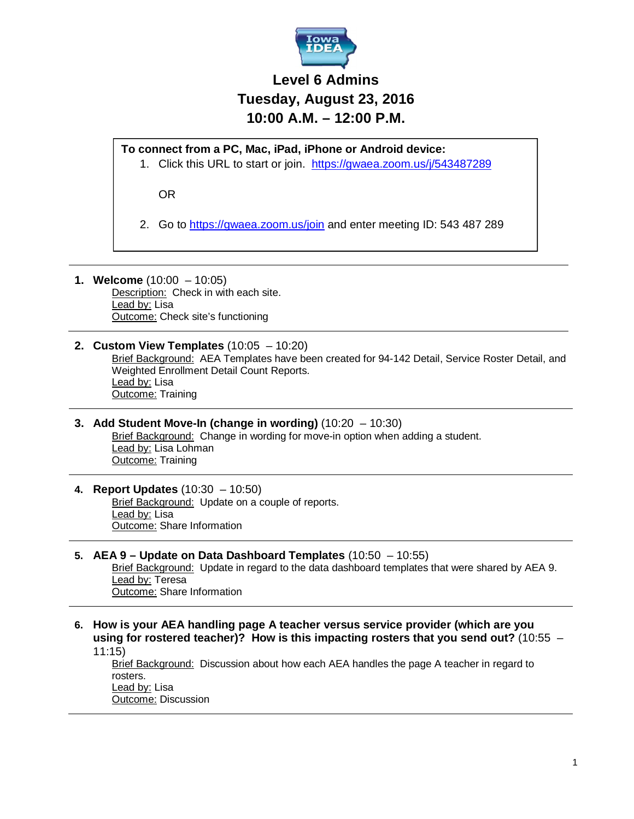

## **Level 6 Admins Tuesday, August 23, 2016 10:00 A.M. – 12:00 P.M.**

**To connect from a PC, Mac, iPad, iPhone or Android device:**

1. Click this URL to start or join. https://gwaea.zoom.us/j/543487289

OR

2. Go to https://gwaea.zoom.us/join and enter meeting ID: 543 487 289

- **1. Welcome** (10:00 10:05) Description: Check in with each site. Lead by: Lisa Outcome: Check site's functioning
- **2. Custom View Templates** (10:05 10:20) Brief Background: AEA Templates have been created for 94-142 Detail, Service Roster Detail, and Weighted Enrollment Detail Count Reports. Lead by: Lisa **Outcome: Training**
- **3. Add Student Move-In (change in wording)** (10:20 10:30) Brief Background: Change in wording for move-in option when adding a student. Lead by: Lisa Lohman Outcome: Training
- **4. Report Updates** (10:30 10:50) Brief Background: Update on a couple of reports. Lead by: Lisa Outcome: Share Information

## **5. AEA 9 – Update on Data Dashboard Templates** (10:50 – 10:55)

Brief Background: Update in regard to the data dashboard templates that were shared by AEA 9. Lead by: Teresa Outcome: Share Information

**6. How is your AEA handling page A teacher versus service provider (which are you using for rostered teacher)? How is this impacting rosters that you send out?** (10:55 – 11:15)

Brief Background: Discussion about how each AEA handles the page A teacher in regard to rosters. Lead by: Lisa Outcome: Discussion